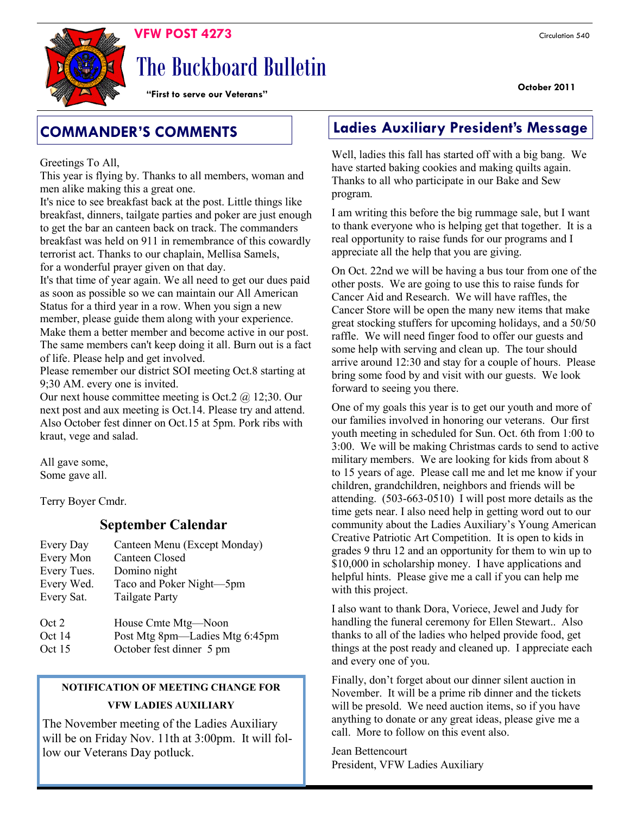

# The Buckboard Bulletin

**"First to serve our Veterans"**

Greetings To All,

This year is flying by. Thanks to all members, woman and men alike making this a great one.

It's nice to see breakfast back at the post. Little things like breakfast, dinners, tailgate parties and poker are just enough to get the bar an canteen back on track. The commanders breakfast was held on 911 in remembrance of this cowardly terrorist act. Thanks to our chaplain, Mellisa Samels, for a wonderful prayer given on that day.

It's that time of year again. We all need to get our dues paid as soon as possible so we can maintain our All American Status for a third year in a row. When you sign a new member, please guide them along with your experience. Make them a better member and become active in our post. The same members can't keep doing it all. Burn out is a fact of life. Please help and get involved.

Please remember our district SOI meeting Oct.8 starting at 9;30 AM. every one is invited.

Our next house committee meeting is Oct.  $2 \hat{\omega}$  12;30. Our next post and aux meeting is Oct.14. Please try and attend. Also October fest dinner on Oct.15 at 5pm. Pork ribs with kraut, vege and salad.

All gave some, Some gave all.

Terry Boyer Cmdr.

### **September Calendar**

| Every Day   | Canteen Menu (Except Monday) |
|-------------|------------------------------|
| Every Mon   | <b>Canteen Closed</b>        |
| Every Tues. | Domino night                 |
| Every Wed.  | Taco and Poker Night-5pm     |
| Every Sat.  | <b>Tailgate Party</b>        |
|             |                              |
| Oct 2       | House Cmte Mtg-Noon          |

| $\sim$ $\sim$ | $110000$ CHILE $11000$         |  |
|---------------|--------------------------------|--|
| Oct 14        | Post Mtg 8pm—Ladies Mtg 6:45pm |  |
| __            |                                |  |

Oct 15 October fest dinner 5 pm

### **NOTIFICATION OF MEETING CHANGE FOR VFW LADIES AUXILIARY**

The November meeting of the Ladies Auxiliary will be on Friday Nov. 11th at 3:00pm. It will follow our Veterans Day potluck.

### **COMMANDER'S COMMENTS Ladies Auxiliary President's Message**

Well, ladies this fall has started off with a big bang. We have started baking cookies and making quilts again. Thanks to all who participate in our Bake and Sew program.

I am writing this before the big rummage sale, but I want to thank everyone who is helping get that together. It is a real opportunity to raise funds for our programs and I appreciate all the help that you are giving.

On Oct. 22nd we will be having a bus tour from one of the other posts. We are going to use this to raise funds for Cancer Aid and Research. We will have raffles, the Cancer Store will be open the many new items that make great stocking stuffers for upcoming holidays, and a 50/50 raffle. We will need finger food to offer our guests and some help with serving and clean up. The tour should arrive around 12:30 and stay for a couple of hours. Please bring some food by and visit with our guests. We look forward to seeing you there.

One of my goals this year is to get our youth and more of our families involved in honoring our veterans. Our first youth meeting in scheduled for Sun. Oct. 6th from 1:00 to 3:00. We will be making Christmas cards to send to active military members. We are looking for kids from about 8 to 15 years of age. Please call me and let me know if your children, grandchildren, neighbors and friends will be attending. (503-663-0510) I will post more details as the time gets near. I also need help in getting word out to our community about the Ladies Auxiliary's Young American Creative Patriotic Art Competition. It is open to kids in grades 9 thru 12 and an opportunity for them to win up to \$10,000 in scholarship money. I have applications and helpful hints. Please give me a call if you can help me with this project.

I also want to thank Dora, Voriece, Jewel and Judy for handling the funeral ceremony for Ellen Stewart.. Also thanks to all of the ladies who helped provide food, get things at the post ready and cleaned up. I appreciate each and every one of you.

Finally, don't forget about our dinner silent auction in November. It will be a prime rib dinner and the tickets will be presold. We need auction items, so if you have anything to donate or any great ideas, please give me a call. More to follow on this event also.

Jean Bettencourt President, VFW Ladies Auxiliary

### **October 2011**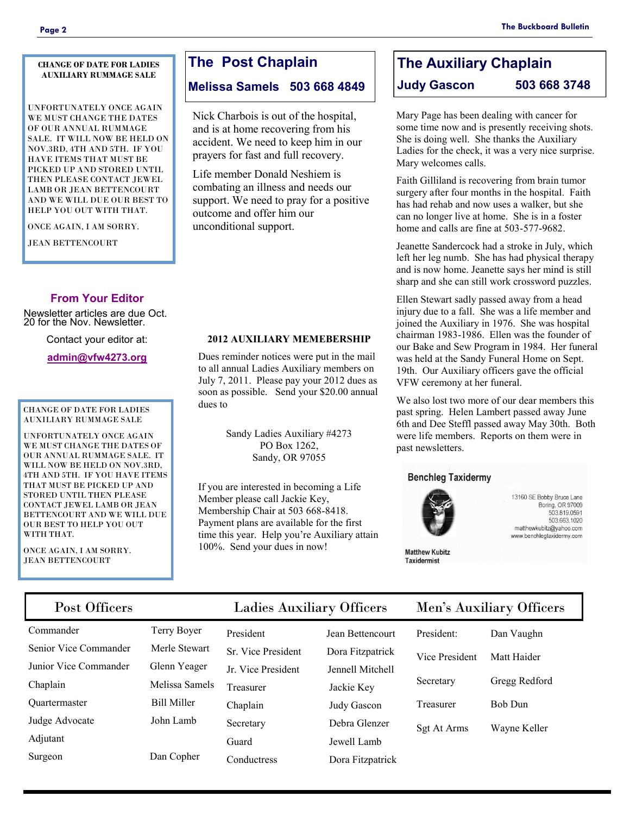#### **CHANGE OF DATE FOR LADIES AUXILIARY RUMMAGE SALE**

UNFORTUNATELY ONCE AGAIN WE MUST CHANGE THE DATES OF OUR ANNUAL RUMMAGE SALE. IT WILL NOW BE HELD ON NOV.3RD, 4TH AND 5TH. IF YOU HAVE ITEMS THAT MUST BE PICKED UP AND STORED UNTIL THEN PLEASE CONTACT JEWEL LAMB OR JEAN BETTENCOURT AND WE WILL DUE OUR BEST TO HELP YOU OUT WITH THAT.

ONCE AGAIN, I AM SORRY.

JEAN BETTENCOURT

### **From Your Editor**

Newsletter articles are due Oct. 20 for the Nov. Newsletter.

Contact your editor at:

**[admin@vfw4273.org](mailto:admin@vfw4273.org)**

#### CHANGE OF DATE FOR LADIES AUXILIARY RUMMAGE SALE

UNFORTUNATELY ONCE AGAIN WE MUST CHANGE THE DATES OF OUR ANNUAL RUMMAGE SALE. IT WILL NOW BE HELD ON NOV.3RD. 4TH AND 5TH. IF YOU HAVE ITEMS THAT MUST BE PICKED UP AND STORED UNTIL THEN PLEASE CONTACT JEWEL LAMB OR JEAN BETTENCOURT AND WE WILL DUE OUR BEST TO HELP YOU OUT WITH THAT.

ONCE AGAIN, I AM SORRY. JEAN BETTENCOURT

### **The Post Chaplain**

### **Melissa Samels 503 668 4849**

Nick Charbois is out of the hospital, and is at home recovering from his accident. We need to keep him in our prayers for fast and full recovery.

Life member Donald Neshiem is combating an illness and needs our support. We need to pray for a positive outcome and offer him our unconditional support.

### **2012 AUXILIARY MEMEBERSHIP**

Dues reminder notices were put in the mail to all annual Ladies Auxiliary members on July 7, 2011. Please pay your 2012 dues as soon as possible. Send your \$20.00 annual dues to

> Sandy Ladies Auxiliary #4273 PO Box 1262, Sandy, OR 97055

If you are interested in becoming a Life Member please call Jackie Key, Membership Chair at 503 668-8418. Payment plans are available for the first time this year. Help you're Auxiliary attain 100%. Send your dues in now!

### **The Auxiliary Chaplain Judy Gascon 503 668 3748**

Mary Page has been dealing with cancer for some time now and is presently receiving shots. She is doing well. She thanks the Auxiliary Ladies for the check, it was a very nice surprise. Mary welcomes calls.

Faith Gilliland is recovering from brain tumor surgery after four months in the hospital. Faith has had rehab and now uses a walker, but she can no longer live at home. She is in a foster home and calls are fine at 503-577-9682.

Jeanette Sandercock had a stroke in July, which left her leg numb. She has had physical therapy and is now home. Jeanette says her mind is still sharp and she can still work crossword puzzles.

Ellen Stewart sadly passed away from a head injury due to a fall. She was a life member and joined the Auxiliary in 1976. She was hospital chairman 1983-1986. Ellen was the founder of our Bake and Sew Program in 1984. Her funeral was held at the Sandy Funeral Home on Sept. 19th. Our Auxiliary officers gave the official VFW ceremony at her funeral.

We also lost two more of our dear members this past spring. Helen Lambert passed away June 6th and Dee Steffl passed away May 30th. Both were life members. Reports on them were in past newsletters.

### **Benchleg Taxidermy**



**Matthew Kubitz Taxidermist** 

13160 SE Bobby Bruce Lane Boring, OR 97009 503.819.0591 503.663.1020 matthewkubitz@yahoo.com www.benchlegtaxidermy.com

Post Officers Ladies Auxiliary Officers Men's Auxiliary Officers

- Commander Terry Boyer Senior Vice Commander Merle Stewart Junior Vice Commander Glenn Yeager Chaplain Melissa Samels Quartermaster Bill Miller Judge Advocate John Lamb Adjutant Surgeon Dan Copher
- 

President Jean Bettencourt Sr. Vice President Dora Fitzpatrick Jr. Vice President Jennell Mitchell Treasurer Jackie Key Chaplain Judy Gascon Secretary Debra Glenzer Guard Jewell Lamb Conductress Dora Fitzpatrick

| President:     | Dan Vaughn  |
|----------------|-------------|
| Vice President | Matt Haider |

| Gregg Redford |
|---------------|
|               |

| Bob Dun |
|---------|
|         |

Sgt At Arms Wayne Keller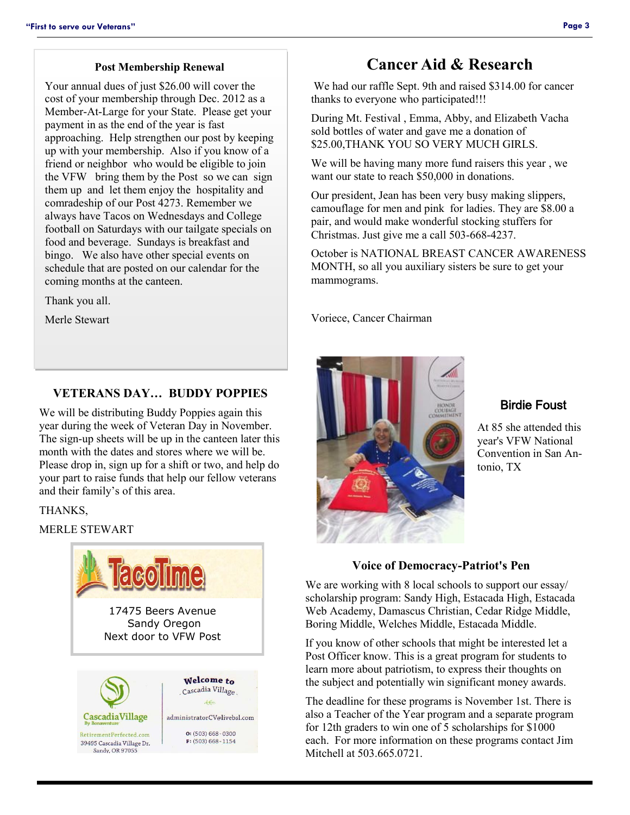### **Post Membership Renewal**

Your annual dues of just \$26.00 will cover the cost of your membership through Dec. 2012 as a Member-At-Large for your State. Please get your payment in as the end of the year is fast approaching. Help strengthen our post by keeping up with your membership. Also if you know of a friend or neighbor who would be eligible to join the VFW bring them by the Post so we can sign them up and let them enjoy the hospitality and comradeship of our Post 4273. Remember we always have Tacos on Wednesdays and College football on Saturdays with our tailgate specials on food and beverage. Sundays is breakfast and bingo. We also have other special events on schedule that are posted on our calendar for the coming months at the canteen.

Thank you all.

Merle Stewart

### **VETERANS DAY… BUDDY POPPIES**

We will be distributing Buddy Poppies again this year during the week of Veteran Day in November. The sign-up sheets will be up in the canteen later this month with the dates and stores where we will be. Please drop in, sign up for a shift or two, and help do your part to raise funds that help our fellow veterans and their family's of this area.

### THANKS,

### MERLE STEWART



### **Cancer Aid & Research**

We had our raffle Sept. 9th and raised \$314.00 for cancer thanks to everyone who participated!!!

During Mt. Festival , Emma, Abby, and Elizabeth Vacha sold bottles of water and gave me a donation of \$25.00,THANK YOU SO VERY MUCH GIRLS.

We will be having many more fund raisers this year , we want our state to reach \$50,000 in donations.

Our president, Jean has been very busy making slippers, camouflage for men and pink for ladies. They are \$8.00 a pair, and would make wonderful stocking stuffers for Christmas. Just give me a call 503-668-4237.

October is NATIONAL BREAST CANCER AWARENESS MONTH, so all you auxiliary sisters be sure to get your mammograms.

Voriece, Cancer Chairman



### Birdie Foust

At 85 she attended this year's VFW National Convention in San Antonio, TX

### **Voice of Democracy-Patriot's Pen**

We are working with 8 local schools to support our essay/ scholarship program: Sandy High, Estacada High, Estacada Web Academy, Damascus Christian, Cedar Ridge Middle, Boring Middle, Welches Middle, Estacada Middle.

If you know of other schools that might be interested let a Post Officer know. This is a great program for students to learn more about patriotism, to express their thoughts on the subject and potentially win significant money awards.

The deadline for these programs is November 1st. There is also a Teacher of the Year program and a separate program for 12th graders to win one of 5 scholarships for \$1000 each. For more information on these programs contact Jim Mitchell at 503 665 0721